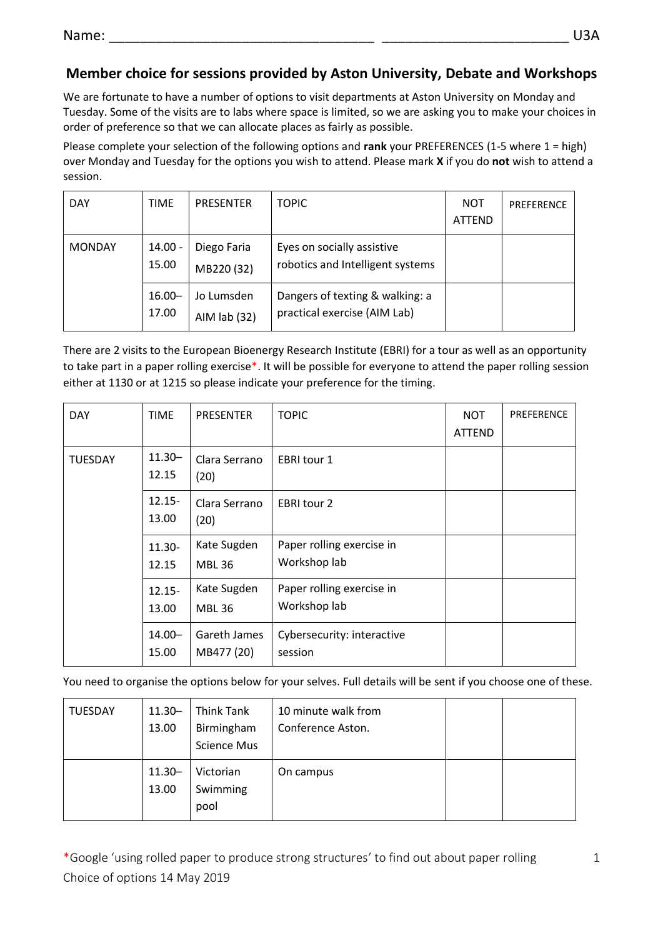## **Member choice for sessions provided by Aston University, Debate and Workshops**

We are fortunate to have a number of options to visit departments at Aston University on Monday and Tuesday. Some of the visits are to labs where space is limited, so we are asking you to make your choices in order of preference so that we can allocate places as fairly as possible.

Please complete your selection of the following options and **rank** your PREFERENCES (1-5 where 1 = high) over Monday and Tuesday for the options you wish to attend. Please mark **X** if you do **not** wish to attend a session.

| <b>DAY</b>    | TIME               | <b>PRESENTER</b>            | <b>TOPIC</b>                                                    | <b>NOT</b><br><b>ATTEND</b> | PREFERENCE |
|---------------|--------------------|-----------------------------|-----------------------------------------------------------------|-----------------------------|------------|
| <b>MONDAY</b> | $14.00 -$<br>15.00 | Diego Faria<br>MB220 (32)   | Eyes on socially assistive<br>robotics and Intelligent systems  |                             |            |
|               | $16.00 -$<br>17.00 | Jo Lumsden<br>AIM $lab(32)$ | Dangers of texting & walking: a<br>practical exercise (AIM Lab) |                             |            |

There are 2 visits to the European Bioenergy Research Institute (EBRI) for a tour as well as an opportunity to take part in a paper rolling exercise\*. It will be possible for everyone to attend the paper rolling session either at 1130 or at 1215 so please indicate your preference for the timing.

| <b>DAY</b>     | <b>TIME</b>        | <b>PRESENTER</b>             | <b>TOPIC</b>                              | <b>NOT</b><br><b>ATTEND</b> | PREFERENCE |
|----------------|--------------------|------------------------------|-------------------------------------------|-----------------------------|------------|
| <b>TUESDAY</b> | $11.30 -$<br>12.15 | Clara Serrano<br>(20)        | <b>EBRI tour 1</b>                        |                             |            |
|                | $12.15 -$<br>13.00 | Clara Serrano<br>(20)        | EBRI tour 2                               |                             |            |
|                | $11.30 -$<br>12.15 | Kate Sugden<br><b>MBL 36</b> | Paper rolling exercise in<br>Workshop lab |                             |            |
|                | $12.15 -$<br>13.00 | Kate Sugden<br><b>MBL 36</b> | Paper rolling exercise in<br>Workshop lab |                             |            |
|                | $14.00 -$<br>15.00 | Gareth James<br>MB477 (20)   | Cybersecurity: interactive<br>session     |                             |            |

You need to organise the options below for your selves. Full details will be sent if you choose one of these.

| TUESDAY | $11.30 -$<br>13.00 | <b>Think Tank</b><br>Birmingham<br><b>Science Mus</b> | 10 minute walk from<br>Conference Aston. |  |
|---------|--------------------|-------------------------------------------------------|------------------------------------------|--|
|         | $11.30 -$<br>13.00 | Victorian<br>Swimming<br>pool                         | On campus                                |  |

\*Google 'using rolled paper to produce strong structures' to find out about paper rolling Choice of options 14 May 2019